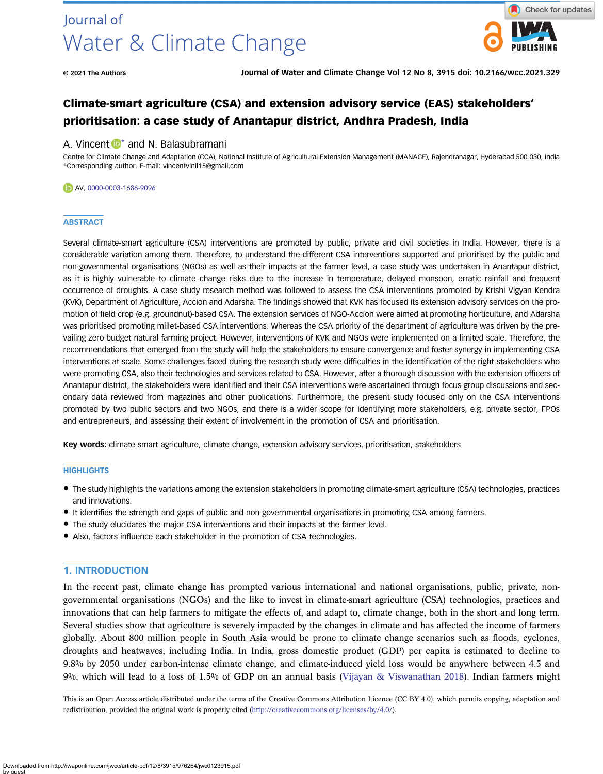

# Climate-smart agriculture (CSA) and extension advisory service (EAS) stakeholders' prioritisation: a case study of Anantapur district, Andhra Pradesh, India

# A. Vincent  $\mathbb{D}^*$  and N. Balasubramani

Centre for Climate Change and Adaptation (CCA), National Institute of Agricultural Extension Management (MANAGE), Rajendranagar, Hyderabad 500 030, India \*Corresponding author. E-mail: [vincentvinil15@gmail.com](mailto:vincentvinil15@gmail.com)

#### AV, [0000-0003-1686-9096](http://orcid.org/0000-0003-1686-9096)

## **ABSTRACT**

Several climate-smart agriculture (CSA) interventions are promoted by public, private and civil societies in India. However, there is a considerable variation among them. Therefore, to understand the different CSA interventions supported and prioritised by the public and non-governmental organisations (NGOs) as well as their impacts at the farmer level, a case study was undertaken in Anantapur district, as it is highly vulnerable to climate change risks due to the increase in temperature, delayed monsoon, erratic rainfall and frequent occurrence of droughts. A case study research method was followed to assess the CSA interventions promoted by Krishi Vigyan Kendra (KVK), Department of Agriculture, Accion and Adarsha. The findings showed that KVK has focused its extension advisory services on the promotion of field crop (e.g. groundnut)-based CSA. The extension services of NGO-Accion were aimed at promoting horticulture, and Adarsha was prioritised promoting millet-based CSA interventions. Whereas the CSA priority of the department of agriculture was driven by the prevailing zero-budget natural farming project. However, interventions of KVK and NGOs were implemented on a limited scale. Therefore, the recommendations that emerged from the study will help the stakeholders to ensure convergence and foster synergy in implementing CSA interventions at scale. Some challenges faced during the research study were difficulties in the identification of the right stakeholders who were promoting CSA, also their technologies and services related to CSA. However, after a thorough discussion with the extension officers of Anantapur district, the stakeholders were identified and their CSA interventions were ascertained through focus group discussions and secondary data reviewed from magazines and other publications. Furthermore, the present study focused only on the CSA interventions promoted by two public sectors and two NGOs, and there is a wider scope for identifying more stakeholders, e.g. private sector, FPOs and entrepreneurs, and assessing their extent of involvement in the promotion of CSA and prioritisation.

Key words: climate-smart agriculture, climate change, extension advisory services, prioritisation, stakeholders

#### **HIGHLIGHTS**

- The study highlights the variations among the extension stakeholders in promoting climate-smart agriculture (CSA) technologies, practices and innovations.
- It identifies the strength and gaps of public and non-governmental organisations in promoting CSA among farmers.
- The study elucidates the major CSA interventions and their impacts at the farmer level.
- Also, factors influence each stakeholder in the promotion of CSA technologies.

# 1. INTRODUCTION

In the recent past, climate change has prompted various international and national organisations, public, private, nongovernmental organisations (NGOs) and the like to invest in climate-smart agriculture (CSA) technologies, practices and innovations that can help farmers to mitigate the effects of, and adapt to, climate change, both in the short and long term. Several studies show that agriculture is severely impacted by the changes in climate and has affected the income of farmers globally. About 800 million people in South Asia would be prone to climate change scenarios such as floods, cyclones, droughts and heatwaves, including India. In India, gross domestic product (GDP) per capita is estimated to decline to 9.8% by 2050 under carbon-intense climate change, and climate-induced yield loss would be anywhere between 4.5 and 9%, which will lead to a loss of 1.5% of GDP on an annual basis [\(Vijayan & Viswanathan 2018](#page-16-0)). Indian farmers might

This is an Open Access article distributed under the terms of the Creative Commons Attribution Licence (CC BY 4.0), which permits copying, adaptation and redistribution, provided the original work is properly cited ([http://creativecommons.org/licenses/by/4.0/\)](http://creativecommons.org/licenses/by/4.0/).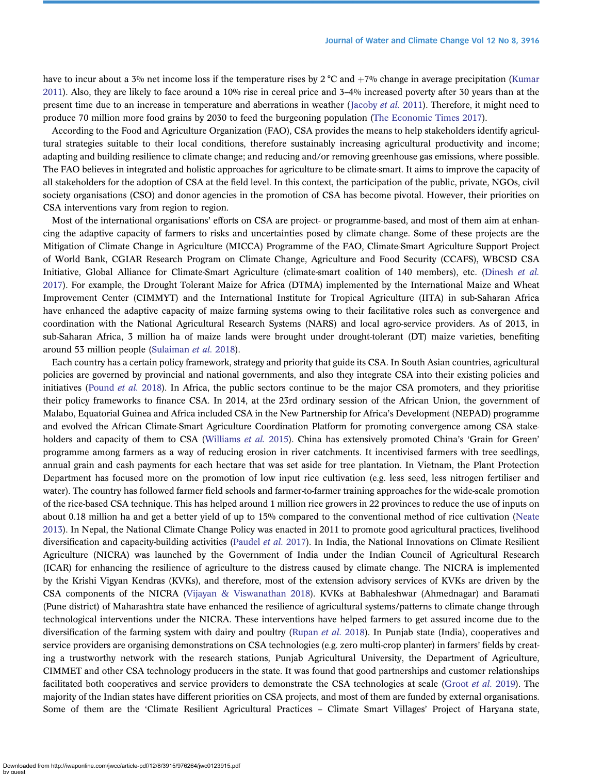have to incur about a 3% net income loss if the temperature rises by 2 °C and  $+7\%$  change in average precipitation [\(Kumar](#page-15-0) [2011](#page-15-0)). Also, they are likely to face around a 10% rise in cereal price and 3–4% increased poverty after 30 years than at the present time due to an increase in temperature and aberrations in weather ([Jacoby](#page-15-0) *et al.* 2011). Therefore, it might need to produce 70 million more food grains by 2030 to feed the burgeoning population ([The Economic Times 2017](#page-16-0)).

According to the Food and Agriculture Organization (FAO), CSA provides the means to help stakeholders identify agricultural strategies suitable to their local conditions, therefore sustainably increasing agricultural productivity and income; adapting and building resilience to climate change; and reducing and/or removing greenhouse gas emissions, where possible. The FAO believes in integrated and holistic approaches for agriculture to be climate-smart. It aims to improve the capacity of all stakeholders for the adoption of CSA at the field level. In this context, the participation of the public, private, NGOs, civil society organisations (CSO) and donor agencies in the promotion of CSA has become pivotal. However, their priorities on CSA interventions vary from region to region.

Most of the international organisations' efforts on CSA are project- or programme-based, and most of them aim at enhancing the adaptive capacity of farmers to risks and uncertainties posed by climate change. Some of these projects are the Mitigation of Climate Change in Agriculture (MICCA) Programme of the FAO, Climate-Smart Agriculture Support Project of World Bank, CGIAR Research Program on Climate Change, Agriculture and Food Security (CCAFS), WBCSD CSA Initiative, Global Alliance for Climate-Smart Agriculture (climate-smart coalition of 140 members), etc. [\(Dinesh](#page-15-0) et al. [2017](#page-15-0)). For example, the Drought Tolerant Maize for Africa (DTMA) implemented by the International Maize and Wheat Improvement Center (CIMMYT) and the International Institute for Tropical Agriculture (IITA) in sub-Saharan Africa have enhanced the adaptive capacity of maize farming systems owing to their facilitative roles such as convergence and coordination with the National Agricultural Research Systems (NARS) and local agro-service providers. As of 2013, in sub-Saharan Africa, 3 million ha of maize lands were brought under drought-tolerant (DT) maize varieties, benefiting around 53 million people [\(Sulaiman](#page-16-0) et al. 2018).

Each country has a certain policy framework, strategy and priority that guide its CSA. In South Asian countries, agricultural policies are governed by provincial and national governments, and also they integrate CSA into their existing policies and initiatives [\(Pound](#page-15-0) *et al.* 2018). In Africa, the public sectors continue to be the major CSA promoters, and they prioritise their policy frameworks to finance CSA. In 2014, at the 23rd ordinary session of the African Union, the government of Malabo, Equatorial Guinea and Africa included CSA in the New Partnership for Africa's Development (NEPAD) programme and evolved the African Climate-Smart Agriculture Coordination Platform for promoting convergence among CSA stake-holders and capacity of them to CSA [\(Williams](#page-16-0) et al. 2015). China has extensively promoted China's 'Grain for Green' programme among farmers as a way of reducing erosion in river catchments. It incentivised farmers with tree seedlings, annual grain and cash payments for each hectare that was set aside for tree plantation. In Vietnam, the Plant Protection Department has focused more on the promotion of low input rice cultivation (e.g. less seed, less nitrogen fertiliser and water). The country has followed farmer field schools and farmer-to-farmer training approaches for the wide-scale promotion of the rice-based CSA technique. This has helped around 1 million rice growers in 22 provinces to reduce the use of inputs on about 0.18 million ha and get a better yield of up to 15% compared to the conventional method of rice cultivation [\(Neate](#page-15-0) [2013](#page-15-0)). In Nepal, the National Climate Change Policy was enacted in 2011 to promote good agricultural practices, livelihood diversification and capacity-building activities ([Paudel](#page-15-0) *et al.* 2017). In India, the National Innovations on Climate Resilient Agriculture (NICRA) was launched by the Government of India under the Indian Council of Agricultural Research (ICAR) for enhancing the resilience of agriculture to the distress caused by climate change. The NICRA is implemented by the Krishi Vigyan Kendras (KVKs), and therefore, most of the extension advisory services of KVKs are driven by the CSA components of the NICRA [\(Vijayan & Viswanathan 2018\)](#page-16-0). KVKs at Babhaleshwar (Ahmednagar) and Baramati (Pune district) of Maharashtra state have enhanced the resilience of agricultural systems/patterns to climate change through technological interventions under the NICRA. These interventions have helped farmers to get assured income due to the diversification of the farming system with dairy and poultry [\(Rupan](#page-16-0) *et al.* 2018). In Punjab state (India), cooperatives and service providers are organising demonstrations on CSA technologies (e.g. zero multi-crop planter) in farmers' fields by creating a trustworthy network with the research stations, Punjab Agricultural University, the Department of Agriculture, CIMMET and other CSA technology producers in the state. It was found that good partnerships and customer relationships facilitated both cooperatives and service providers to demonstrate the CSA technologies at scale ([Groot](#page-15-0) et al. 2019). The majority of the Indian states have different priorities on CSA projects, and most of them are funded by external organisations. Some of them are the 'Climate Resilient Agricultural Practices – Climate Smart Villages' Project of Haryana state,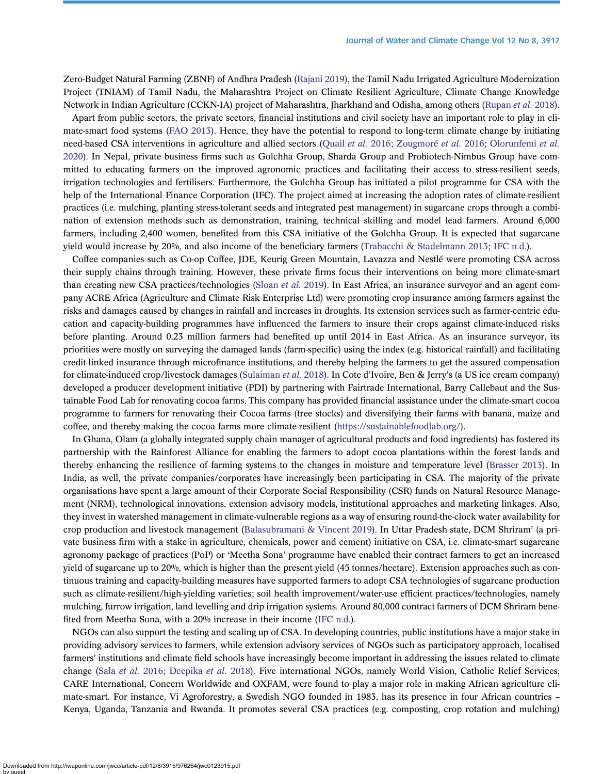Zero-Budget Natural Farming (ZBNF) of Andhra Pradesh [\(Rajani 2019](#page-16-0)), the Tamil Nadu Irrigated Agriculture Modernization Project (TNIAM) of Tamil Nadu, the Maharashtra Project on Climate Resilient Agriculture, Climate Change Knowledge Network in Indian Agriculture (CCKN-IA) project of Maharashtra, Jharkhand and Odisha, among others [\(Rupan](#page-16-0) et al. 2018).

Apart from public sectors, the private sectors, financial institutions and civil society have an important role to play in climate-smart food systems ([FAO 2013](#page-15-0)). Hence, they have the potential to respond to long-term climate change by initiating need-based CSA interventions in agriculture and allied sectors ([Quail](#page-16-0) et al. 2016; [Zougmoré](#page-16-0) et al. 2016; [Olorunfemi](#page-15-0) et al. [2020\)](#page-15-0). In Nepal, private business firms such as Golchha Group, Sharda Group and Probiotech-Nimbus Group have committed to educating farmers on the improved agronomic practices and facilitating their access to stress-resilient seeds, irrigation technologies and fertilisers. Furthermore, the Golchha Group has initiated a pilot programme for CSA with the help of the International Finance Corporation (IFC). The project aimed at increasing the adoption rates of climate-resilient practices (i.e. mulching, planting stress-tolerant seeds and integrated pest management) in sugarcane crops through a combination of extension methods such as demonstration, training, technical skilling and model lead farmers. Around 6,000 farmers, including 2,400 women, benefited from this CSA initiative of the Golchha Group. It is expected that sugarcane yield would increase by 20%, and also income of the beneficiary farmers ([Trabacchi & Stadelmann 2013;](#page-16-0) [IFC n.d.](#page-15-0)).

Coffee companies such as Co-op Coffee, JDE, Keurig Green Mountain, Lavazza and Nestlé were promoting CSA across their supply chains through training. However, these private firms focus their interventions on being more climate-smart than creating new CSA practices/technologies ([Sloan](#page-16-0) *et al.* 2019). In East Africa, an insurance surveyor and an agent company ACRE Africa (Agriculture and Climate Risk Enterprise Ltd) were promoting crop insurance among farmers against the risks and damages caused by changes in rainfall and increases in droughts. Its extension services such as farmer-centric education and capacity-building programmes have influenced the farmers to insure their crops against climate-induced risks before planting. Around 0.23 million farmers had benefited up until 2014 in East Africa. As an insurance surveyor, its priorities were mostly on surveying the damaged lands (farm-specific) using the index (e.g. historical rainfall) and facilitating credit-linked insurance through microfinance institutions, and thereby helping the farmers to get the assured compensation for climate-induced crop/livestock damages [\(Sulaiman](#page-16-0) et al. 2018). In Cote d'Ivoire, Ben & Jerry's (a US ice cream company) developed a producer development initiative (PDI) by partnering with Fairtrade International, Barry Callebaut and the Sustainable Food Lab for renovating cocoa farms. This company has provided financial assistance under the climate-smart cocoa programme to farmers for renovating their Cocoa farms (tree stocks) and diversifying their farms with banana, maize and coffee, and thereby making the cocoa farms more climate-resilient ([https://sustainablefoodlab.org/\)](https://sustainablefoodlab.org/).

In Ghana, Olam (a globally integrated supply chain manager of agricultural products and food ingredients) has fostered its partnership with the Rainforest Alliance for enabling the farmers to adopt cocoa plantations within the forest lands and thereby enhancing the resilience of farming systems to the changes in moisture and temperature level ([Brasser 2013](#page-15-0)). In India, as well, the private companies/corporates have increasingly been participating in CSA. The majority of the private organisations have spent a large amount of their Corporate Social Responsibility (CSR) funds on Natural Resource Management (NRM), technological innovations, extension advisory models, institutional approaches and marketing linkages. Also, they invest in watershed management in climate-vulnerable regions as a way of ensuring round-the-clock water availability for crop production and livestock management ([Balasubramani & Vincent 2019](#page-15-0)). In Uttar Pradesh state, DCM Shriram' (a private business firm with a stake in agriculture, chemicals, power and cement) initiative on CSA, i.e. climate-smart sugarcane agronomy package of practices (PoP) or 'Meetha Sona' programme have enabled their contract farmers to get an increased yield of sugarcane up to 20%, which is higher than the present yield (45 tonnes/hectare). Extension approaches such as continuous training and capacity-building measures have supported farmers to adopt CSA technologies of sugarcane production such as climate-resilient/high-yielding varieties; soil health improvement/water-use efficient practices/technologies, namely mulching, furrow irrigation, land levelling and drip irrigation systems. Around 80,000 contract farmers of DCM Shriram benefited from Meetha Sona, with a 20% increase in their income [\(IFC n.d.\)](#page-15-0).

NGOs can also support the testing and scaling up of CSA. In developing countries, public institutions have a major stake in providing advisory services to farmers, while extension advisory services of NGOs such as participatory approach, localised farmers' institutions and climate field schools have increasingly become important in addressing the issues related to climate change (Sala [et al.](#page-16-0) 2016; [Deepika](#page-15-0) et al. 2018). Five international NGOs, namely World Vision, Catholic Relief Services, CARE International, Concern Worldwide and OXFAM, were found to play a major role in making African agriculture climate-smart. For instance, Vi Agroforestry, a Swedish NGO founded in 1983, has its presence in four African countries – Kenya, Uganda, Tanzania and Rwanda. It promotes several CSA practices (e.g. composting, crop rotation and mulching)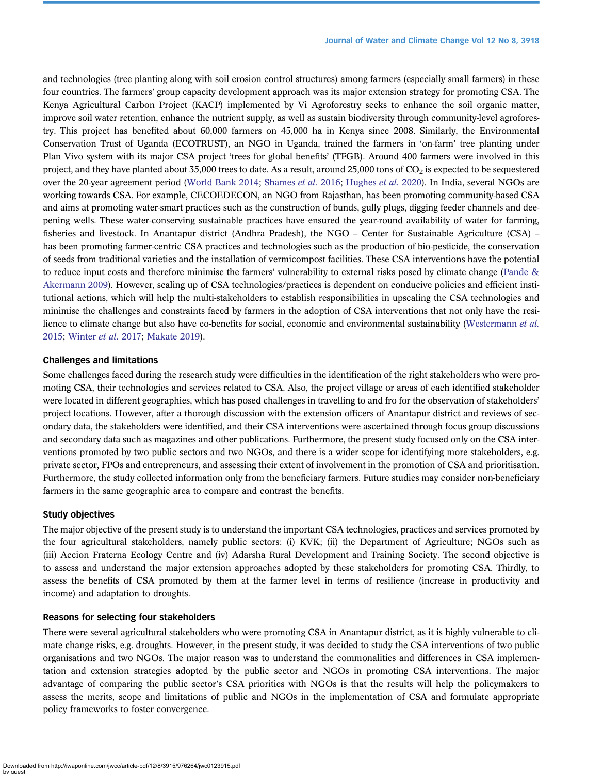and technologies (tree planting along with soil erosion control structures) among farmers (especially small farmers) in these four countries. The farmers' group capacity development approach was its major extension strategy for promoting CSA. The Kenya Agricultural Carbon Project (KACP) implemented by Vi Agroforestry seeks to enhance the soil organic matter, improve soil water retention, enhance the nutrient supply, as well as sustain biodiversity through community-level agroforestry. This project has benefited about 60,000 farmers on 45,000 ha in Kenya since 2008. Similarly, the Environmental Conservation Trust of Uganda (ECOTRUST), an NGO in Uganda, trained the farmers in 'on-farm' tree planting under Plan Vivo system with its major CSA project 'trees for global benefits' (TFGB). Around 400 farmers were involved in this project, and they have planted about 35,000 trees to date. As a result, around 25,000 tons of  $CO<sub>2</sub>$  is expected to be sequestered over the 20-year agreement period ([World Bank 2014;](#page-16-0) [Shames](#page-16-0) et al. 2016; [Hughes](#page-15-0) et al. 2020). In India, several NGOs are working towards CSA. For example, CECOEDECON, an NGO from Rajasthan, has been promoting community-based CSA and aims at promoting water-smart practices such as the construction of bunds, gully plugs, digging feeder channels and deepening wells. These water-conserving sustainable practices have ensured the year-round availability of water for farming, fisheries and livestock. In Anantapur district (Andhra Pradesh), the NGO – Center for Sustainable Agriculture (CSA) – has been promoting farmer-centric CSA practices and technologies such as the production of bio-pesticide, the conservation of seeds from traditional varieties and the installation of vermicompost facilities. These CSA interventions have the potential to reduce input costs and therefore minimise the farmers' vulnerability to external risks posed by climate change [\(Pande &](#page-15-0) [Akermann 2009](#page-15-0)). However, scaling up of CSA technologies/practices is dependent on conducive policies and efficient institutional actions, which will help the multi-stakeholders to establish responsibilities in upscaling the CSA technologies and minimise the challenges and constraints faced by farmers in the adoption of CSA interventions that not only have the resi-lience to climate change but also have co-benefits for social, economic and environmental sustainability [\(Westermann](#page-16-0) et al. [2015](#page-16-0); [Winter](#page-16-0) et al. 2017; [Makate 2019](#page-15-0)).

## Challenges and limitations

Some challenges faced during the research study were difficulties in the identification of the right stakeholders who were promoting CSA, their technologies and services related to CSA. Also, the project village or areas of each identified stakeholder were located in different geographies, which has posed challenges in travelling to and fro for the observation of stakeholders' project locations. However, after a thorough discussion with the extension officers of Anantapur district and reviews of secondary data, the stakeholders were identified, and their CSA interventions were ascertained through focus group discussions and secondary data such as magazines and other publications. Furthermore, the present study focused only on the CSA interventions promoted by two public sectors and two NGOs, and there is a wider scope for identifying more stakeholders, e.g. private sector, FPOs and entrepreneurs, and assessing their extent of involvement in the promotion of CSA and prioritisation. Furthermore, the study collected information only from the beneficiary farmers. Future studies may consider non-beneficiary farmers in the same geographic area to compare and contrast the benefits.

#### Study objectives

The major objective of the present study is to understand the important CSA technologies, practices and services promoted by the four agricultural stakeholders, namely public sectors: (i) KVK; (ii) the Department of Agriculture; NGOs such as (iii) Accion Fraterna Ecology Centre and (iv) Adarsha Rural Development and Training Society. The second objective is to assess and understand the major extension approaches adopted by these stakeholders for promoting CSA. Thirdly, to assess the benefits of CSA promoted by them at the farmer level in terms of resilience (increase in productivity and income) and adaptation to droughts.

# Reasons for selecting four stakeholders

There were several agricultural stakeholders who were promoting CSA in Anantapur district, as it is highly vulnerable to climate change risks, e.g. droughts. However, in the present study, it was decided to study the CSA interventions of two public organisations and two NGOs. The major reason was to understand the commonalities and differences in CSA implementation and extension strategies adopted by the public sector and NGOs in promoting CSA interventions. The major advantage of comparing the public sector's CSA priorities with NGOs is that the results will help the policymakers to assess the merits, scope and limitations of public and NGOs in the implementation of CSA and formulate appropriate policy frameworks to foster convergence.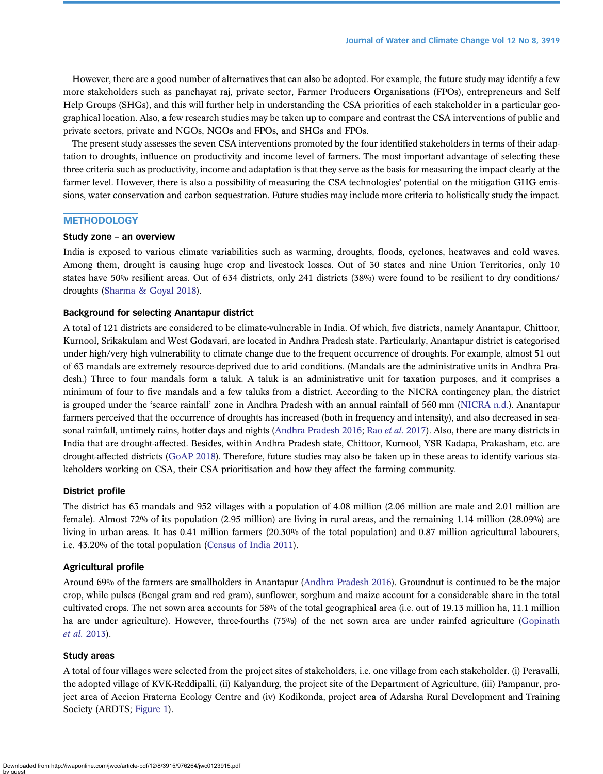However, there are a good number of alternatives that can also be adopted. For example, the future study may identify a few more stakeholders such as panchayat raj, private sector, Farmer Producers Organisations (FPOs), entrepreneurs and Self Help Groups (SHGs), and this will further help in understanding the CSA priorities of each stakeholder in a particular geographical location. Also, a few research studies may be taken up to compare and contrast the CSA interventions of public and private sectors, private and NGOs, NGOs and FPOs, and SHGs and FPOs.

The present study assesses the seven CSA interventions promoted by the four identified stakeholders in terms of their adaptation to droughts, influence on productivity and income level of farmers. The most important advantage of selecting these three criteria such as productivity, income and adaptation is that they serve as the basis for measuring the impact clearly at the farmer level. However, there is also a possibility of measuring the CSA technologies' potential on the mitigation GHG emissions, water conservation and carbon sequestration. Future studies may include more criteria to holistically study the impact.

# **METHODOLOGY**

### Study zone – an overview

India is exposed to various climate variabilities such as warming, droughts, floods, cyclones, heatwaves and cold waves. Among them, drought is causing huge crop and livestock losses. Out of 30 states and nine Union Territories, only 10 states have 50% resilient areas. Out of 634 districts, only 241 districts (38%) were found to be resilient to dry conditions/ droughts ([Sharma & Goyal 2018\)](#page-16-0).

#### Background for selecting Anantapur district

A total of 121 districts are considered to be climate-vulnerable in India. Of which, five districts, namely Anantapur, Chittoor, Kurnool, Srikakulam and West Godavari, are located in Andhra Pradesh state. Particularly, Anantapur district is categorised under high/very high vulnerability to climate change due to the frequent occurrence of droughts. For example, almost 51 out of 63 mandals are extremely resource-deprived due to arid conditions. (Mandals are the administrative units in Andhra Pradesh.) Three to four mandals form a taluk. A taluk is an administrative unit for taxation purposes, and it comprises a minimum of four to five mandals and a few taluks from a district. According to the NICRA contingency plan, the district is grouped under the 'scarce rainfall' zone in Andhra Pradesh with an annual rainfall of 560 mm ([NICRA n.d.](#page-15-0)). Anantapur farmers perceived that the occurrence of droughts has increased (both in frequency and intensity), and also decreased in sea-sonal rainfall, untimely rains, hotter days and nights ([Andhra Pradesh 2016;](#page-14-0) Rao *et al.* [2017\)](#page-16-0). Also, there are many districts in India that are drought-affected. Besides, within Andhra Pradesh state, Chittoor, Kurnool, YSR Kadapa, Prakasham, etc. are drought-affected districts [\(GoAP 2018\)](#page-15-0). Therefore, future studies may also be taken up in these areas to identify various stakeholders working on CSA, their CSA prioritisation and how they affect the farming community.

#### District profile

The district has 63 mandals and 952 villages with a population of 4.08 million (2.06 million are male and 2.01 million are female). Almost 72% of its population (2.95 million) are living in rural areas, and the remaining 1.14 million (28.09%) are living in urban areas. It has 0.41 million farmers (20.30% of the total population) and 0.87 million agricultural labourers, i.e. 43.20% of the total population [\(Census of India 2011\)](#page-15-0).

# Agricultural profile

Around 69% of the farmers are smallholders in Anantapur [\(Andhra Pradesh 2016\)](#page-14-0). Groundnut is continued to be the major crop, while pulses (Bengal gram and red gram), sunflower, sorghum and maize account for a considerable share in the total cultivated crops. The net sown area accounts for 58% of the total geographical area (i.e. out of 19.13 million ha, 11.1 million ha are under agriculture). However, three-fourths (75%) of the net sown area are under rainfed agriculture [\(Gopinath](#page-15-0) et al. [2013\)](#page-15-0).

# Study areas

A total of four villages were selected from the project sites of stakeholders, i.e. one village from each stakeholder. (i) Peravalli, the adopted village of KVK-Reddipalli, (ii) Kalyandurg, the project site of the Department of Agriculture, (iii) Pampanur, project area of Accion Fraterna Ecology Centre and (iv) Kodikonda, project area of Adarsha Rural Development and Training Society (ARDTS; [Figure 1](#page-5-0)).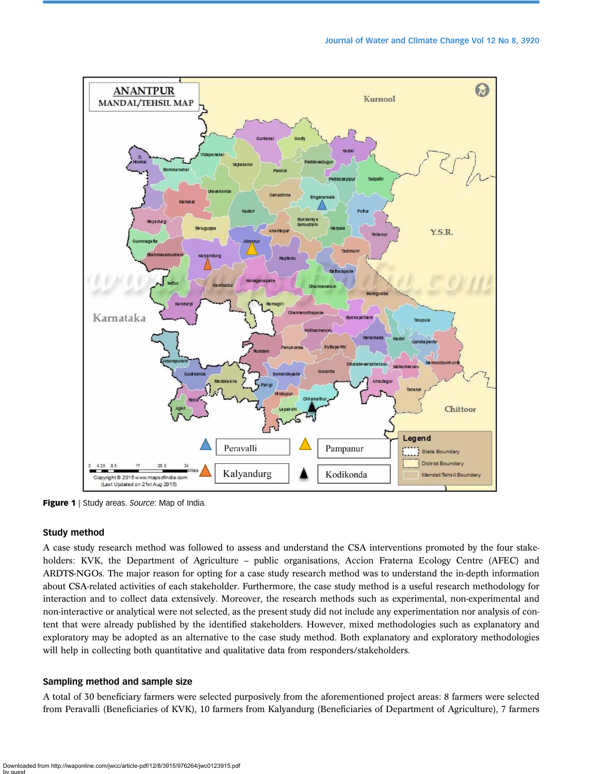<span id="page-5-0"></span>

**Figure 1** | Study areas. Source: Map of India.

#### Study method

A case study research method was followed to assess and understand the CSA interventions promoted by the four stakeholders: KVK, the Department of Agriculture – public organisations, Accion Fraterna Ecology Centre (AFEC) and ARDTS-NGOs. The major reason for opting for a case study research method was to understand the in-depth information about CSA-related activities of each stakeholder. Furthermore, the case study method is a useful research methodology for interaction and to collect data extensively. Moreover, the research methods such as experimental, non-experimental and non-interactive or analytical were not selected, as the present study did not include any experimentation nor analysis of content that were already published by the identified stakeholders. However, mixed methodologies such as explanatory and exploratory may be adopted as an alternative to the case study method. Both explanatory and exploratory methodologies will help in collecting both quantitative and qualitative data from responders/stakeholders.

# Sampling method and sample size

A total of 30 beneficiary farmers were selected purposively from the aforementioned project areas: 8 farmers were selected from Peravalli (Beneficiaries of KVK), 10 farmers from Kalyandurg (Beneficiaries of Department of Agriculture), 7 farmers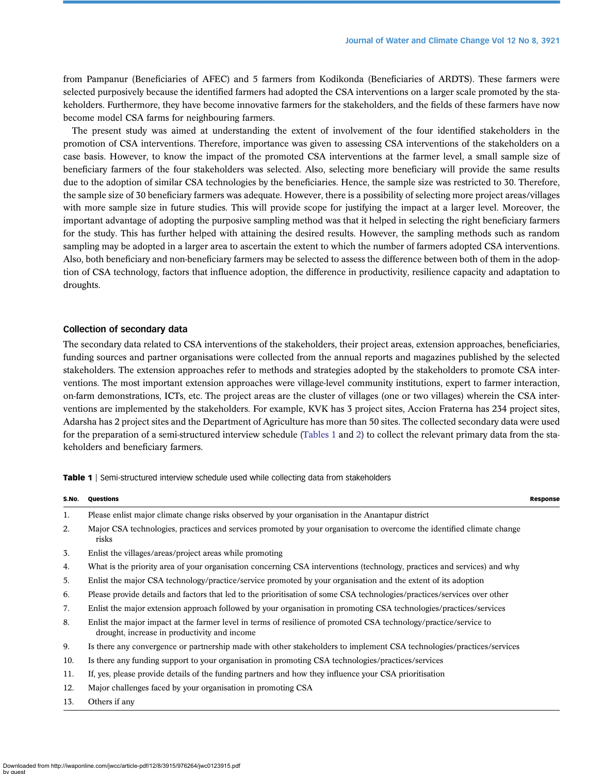from Pampanur (Beneficiaries of AFEC) and 5 farmers from Kodikonda (Beneficiaries of ARDTS). These farmers were selected purposively because the identified farmers had adopted the CSA interventions on a larger scale promoted by the stakeholders. Furthermore, they have become innovative farmers for the stakeholders, and the fields of these farmers have now become model CSA farms for neighbouring farmers.

The present study was aimed at understanding the extent of involvement of the four identified stakeholders in the promotion of CSA interventions. Therefore, importance was given to assessing CSA interventions of the stakeholders on a case basis. However, to know the impact of the promoted CSA interventions at the farmer level, a small sample size of beneficiary farmers of the four stakeholders was selected. Also, selecting more beneficiary will provide the same results due to the adoption of similar CSA technologies by the beneficiaries. Hence, the sample size was restricted to 30. Therefore, the sample size of 30 beneficiary farmers was adequate. However, there is a possibility of selecting more project areas/villages with more sample size in future studies. This will provide scope for justifying the impact at a larger level. Moreover, the important advantage of adopting the purposive sampling method was that it helped in selecting the right beneficiary farmers for the study. This has further helped with attaining the desired results. However, the sampling methods such as random sampling may be adopted in a larger area to ascertain the extent to which the number of farmers adopted CSA interventions. Also, both beneficiary and non-beneficiary farmers may be selected to assess the difference between both of them in the adoption of CSA technology, factors that influence adoption, the difference in productivity, resilience capacity and adaptation to droughts.

#### Collection of secondary data

The secondary data related to CSA interventions of the stakeholders, their project areas, extension approaches, beneficiaries, funding sources and partner organisations were collected from the annual reports and magazines published by the selected stakeholders. The extension approaches refer to methods and strategies adopted by the stakeholders to promote CSA interventions. The most important extension approaches were village-level community institutions, expert to farmer interaction, on-farm demonstrations, ICTs, etc. The project areas are the cluster of villages (one or two villages) wherein the CSA interventions are implemented by the stakeholders. For example, KVK has 3 project sites, Accion Fraterna has 234 project sites, Adarsha has 2 project sites and the Department of Agriculture has more than 50 sites. The collected secondary data were used for the preparation of a semi-structured interview schedule (Tables 1 and [2](#page-7-0)) to collect the relevant primary data from the stakeholders and beneficiary farmers.

Table 1 | Semi-structured interview schedule used while collecting data from stakeholders

| S.No. | Questions                                                                                                                                                         | <b>Response</b> |
|-------|-------------------------------------------------------------------------------------------------------------------------------------------------------------------|-----------------|
| 1.    | Please enlist major climate change risks observed by your organisation in the Anantapur district                                                                  |                 |
| 2.    | Major CSA technologies, practices and services promoted by your organisation to overcome the identified climate change<br>risks                                   |                 |
| 3.    | Enlist the villages/areas/project areas while promoting                                                                                                           |                 |
| 4.    | What is the priority area of your organisation concerning CSA interventions (technology, practices and services) and why                                          |                 |
| 5.    | Enlist the major CSA technology/practice/service promoted by your organisation and the extent of its adoption                                                     |                 |
| 6.    | Please provide details and factors that led to the prioritisation of some CSA technologies/practices/services over other                                          |                 |
| 7.    | Enlist the major extension approach followed by your organisation in promoting CSA technologies/practices/services                                                |                 |
| 8.    | Enlist the major impact at the farmer level in terms of resilience of promoted CSA technology/practice/service to<br>drought, increase in productivity and income |                 |
| 9.    | Is there any convergence or partnership made with other stakeholders to implement CSA technologies/practices/services                                             |                 |
| 10.   | Is there any funding support to your organisation in promoting CSA technologies/practices/services                                                                |                 |
| 11.   | If, yes, please provide details of the funding partners and how they influence your CSA prioritisation                                                            |                 |
| 12.   | Major challenges faced by your organisation in promoting CSA                                                                                                      |                 |
| 13.   | Others if any                                                                                                                                                     |                 |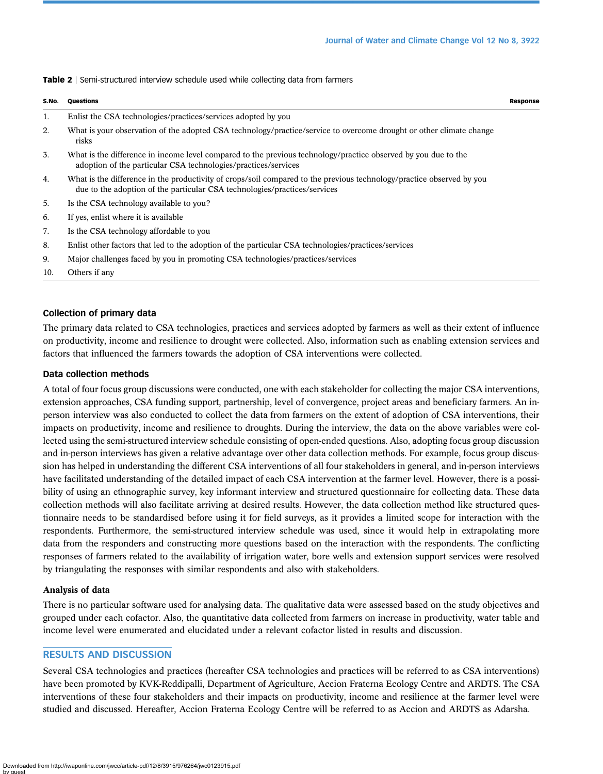|     | S.No. Questions                                                                                                                                                                                    | Response |
|-----|----------------------------------------------------------------------------------------------------------------------------------------------------------------------------------------------------|----------|
| 1.  | Enlist the CSA technologies/practices/services adopted by you                                                                                                                                      |          |
| 2.  | What is your observation of the adopted CSA technology/practice/service to overcome drought or other climate change<br>risks                                                                       |          |
| 3.  | What is the difference in income level compared to the previous technology/practice observed by you due to the<br>adoption of the particular CSA technologies/practices/services                   |          |
| 4.  | What is the difference in the productivity of crops/soil compared to the previous technology/practice observed by you<br>due to the adoption of the particular CSA technologies/practices/services |          |
| 5.  | Is the CSA technology available to you?                                                                                                                                                            |          |
| 6.  | If yes, enlist where it is available                                                                                                                                                               |          |
| 7.  | Is the CSA technology affordable to you                                                                                                                                                            |          |
| 8.  | Enlist other factors that led to the adoption of the particular CSA technologies/practices/services                                                                                                |          |
| 9.  | Major challenges faced by you in promoting CSA technologies/practices/services                                                                                                                     |          |
| 10. | Others if any                                                                                                                                                                                      |          |
|     |                                                                                                                                                                                                    |          |

<span id="page-7-0"></span>Table 2 | Semi-structured interview schedule used while collecting data from farmers

# Collection of primary data

The primary data related to CSA technologies, practices and services adopted by farmers as well as their extent of influence on productivity, income and resilience to drought were collected. Also, information such as enabling extension services and factors that influenced the farmers towards the adoption of CSA interventions were collected.

### Data collection methods

A total of four focus group discussions were conducted, one with each stakeholder for collecting the major CSA interventions, extension approaches, CSA funding support, partnership, level of convergence, project areas and beneficiary farmers. An inperson interview was also conducted to collect the data from farmers on the extent of adoption of CSA interventions, their impacts on productivity, income and resilience to droughts. During the interview, the data on the above variables were collected using the semi-structured interview schedule consisting of open-ended questions. Also, adopting focus group discussion and in-person interviews has given a relative advantage over other data collection methods. For example, focus group discussion has helped in understanding the different CSA interventions of all four stakeholders in general, and in-person interviews have facilitated understanding of the detailed impact of each CSA intervention at the farmer level. However, there is a possibility of using an ethnographic survey, key informant interview and structured questionnaire for collecting data. These data collection methods will also facilitate arriving at desired results. However, the data collection method like structured questionnaire needs to be standardised before using it for field surveys, as it provides a limited scope for interaction with the respondents. Furthermore, the semi-structured interview schedule was used, since it would help in extrapolating more data from the responders and constructing more questions based on the interaction with the respondents. The conflicting responses of farmers related to the availability of irrigation water, bore wells and extension support services were resolved by triangulating the responses with similar respondents and also with stakeholders.

# Analysis of data

There is no particular software used for analysing data. The qualitative data were assessed based on the study objectives and grouped under each cofactor. Also, the quantitative data collected from farmers on increase in productivity, water table and income level were enumerated and elucidated under a relevant cofactor listed in results and discussion.

# RESULTS AND DISCUSSION

Several CSA technologies and practices (hereafter CSA technologies and practices will be referred to as CSA interventions) have been promoted by KVK-Reddipalli, Department of Agriculture, Accion Fraterna Ecology Centre and ARDTS. The CSA interventions of these four stakeholders and their impacts on productivity, income and resilience at the farmer level were studied and discussed. Hereafter, Accion Fraterna Ecology Centre will be referred to as Accion and ARDTS as Adarsha.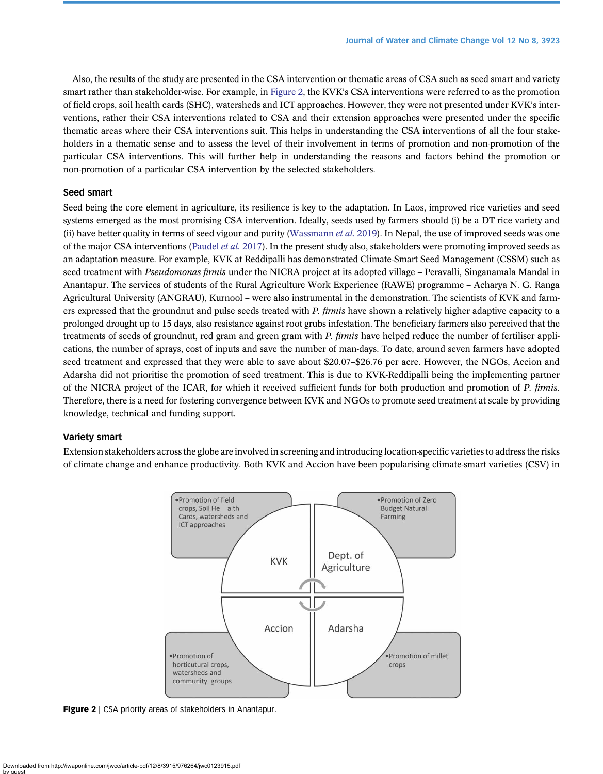Also, the results of the study are presented in the CSA intervention or thematic areas of CSA such as seed smart and variety smart rather than stakeholder-wise. For example, in Figure 2, the KVK's CSA interventions were referred to as the promotion of field crops, soil health cards (SHC), watersheds and ICT approaches. However, they were not presented under KVK's interventions, rather their CSA interventions related to CSA and their extension approaches were presented under the specific thematic areas where their CSA interventions suit. This helps in understanding the CSA interventions of all the four stakeholders in a thematic sense and to assess the level of their involvement in terms of promotion and non-promotion of the particular CSA interventions. This will further help in understanding the reasons and factors behind the promotion or non-promotion of a particular CSA intervention by the selected stakeholders.

# Seed smart

Seed being the core element in agriculture, its resilience is key to the adaptation. In Laos, improved rice varieties and seed systems emerged as the most promising CSA intervention. Ideally, seeds used by farmers should (i) be a DT rice variety and (ii) have better quality in terms of seed vigour and purity ([Wassmann](#page-16-0) *et al.* 2019). In Nepal, the use of improved seeds was one of the major CSA interventions ([Paudel](#page-15-0) *et al.* 2017). In the present study also, stakeholders were promoting improved seeds as an adaptation measure. For example, KVK at Reddipalli has demonstrated Climate-Smart Seed Management (CSSM) such as seed treatment with Pseudomonas firmis under the NICRA project at its adopted village – Peravalli, Singanamala Mandal in Anantapur. The services of students of the Rural Agriculture Work Experience (RAWE) programme – Acharya N. G. Ranga Agricultural University (ANGRAU), Kurnool – were also instrumental in the demonstration. The scientists of KVK and farmers expressed that the groundnut and pulse seeds treated with P. firmis have shown a relatively higher adaptive capacity to a prolonged drought up to 15 days, also resistance against root grubs infestation. The beneficiary farmers also perceived that the treatments of seeds of groundnut, red gram and green gram with P. firmis have helped reduce the number of fertiliser applications, the number of sprays, cost of inputs and save the number of man-days. To date, around seven farmers have adopted seed treatment and expressed that they were able to save about \$20.07–\$26.76 per acre. However, the NGOs, Accion and Adarsha did not prioritise the promotion of seed treatment. This is due to KVK-Reddipalli being the implementing partner of the NICRA project of the ICAR, for which it received sufficient funds for both production and promotion of P. firmis. Therefore, there is a need for fostering convergence between KVK and NGOs to promote seed treatment at scale by providing knowledge, technical and funding support.

# Variety smart

Extension stakeholders across the globe are involved in screening and introducing location-specific varieties to address the risks of climate change and enhance productivity. Both KVK and Accion have been popularising climate-smart varieties (CSV) in



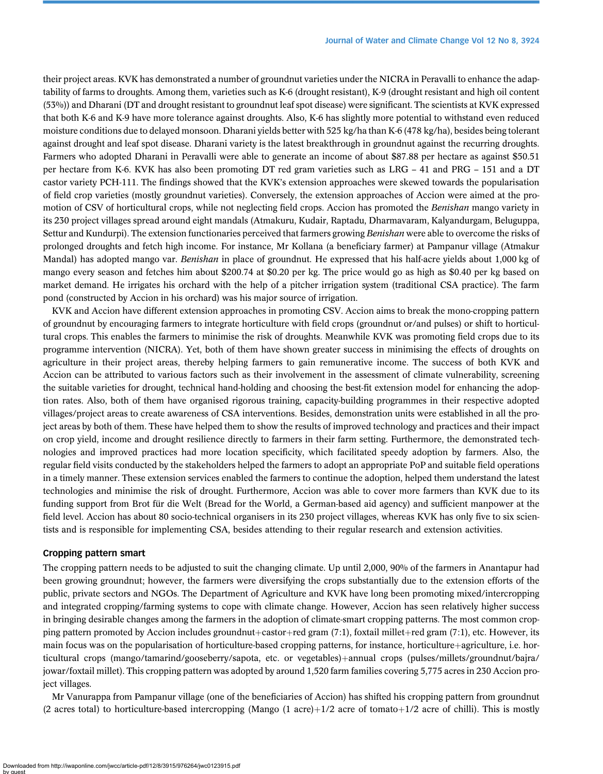their project areas. KVK has demonstrated a number of groundnut varieties under the NICRA in Peravalli to enhance the adaptability of farms to droughts. Among them, varieties such as K-6 (drought resistant), K-9 (drought resistant and high oil content (53%)) and Dharani (DT and drought resistant to groundnut leaf spot disease) were significant. The scientists at KVK expressed that both K-6 and K-9 have more tolerance against droughts. Also, K-6 has slightly more potential to withstand even reduced moisture conditions due to delayed monsoon. Dharani yields better with 525 kg/ha than K-6 (478 kg/ha), besides being tolerant against drought and leaf spot disease. Dharani variety is the latest breakthrough in groundnut against the recurring droughts. Farmers who adopted Dharani in Peravalli were able to generate an income of about \$87.88 per hectare as against \$50.51 per hectare from K-6. KVK has also been promoting DT red gram varieties such as LRG – 41 and PRG – 151 and a DT castor variety PCH-111. The findings showed that the KVK's extension approaches were skewed towards the popularisation of field crop varieties (mostly groundnut varieties). Conversely, the extension approaches of Accion were aimed at the promotion of CSV of horticultural crops, while not neglecting field crops. Accion has promoted the Benishan mango variety in its 230 project villages spread around eight mandals (Atmakuru, Kudair, Raptadu, Dharmavaram, Kalyandurgam, Beluguppa, Settur and Kundurpi). The extension functionaries perceived that farmers growing Benishan were able to overcome the risks of prolonged droughts and fetch high income. For instance, Mr Kollana (a beneficiary farmer) at Pampanur village (Atmakur Mandal) has adopted mango var. Benishan in place of groundnut. He expressed that his half-acre vields about 1,000 kg of mango every season and fetches him about \$200.74 at \$0.20 per kg. The price would go as high as \$0.40 per kg based on market demand. He irrigates his orchard with the help of a pitcher irrigation system (traditional CSA practice). The farm pond (constructed by Accion in his orchard) was his major source of irrigation.

KVK and Accion have different extension approaches in promoting CSV. Accion aims to break the mono-cropping pattern of groundnut by encouraging farmers to integrate horticulture with field crops (groundnut or/and pulses) or shift to horticultural crops. This enables the farmers to minimise the risk of droughts. Meanwhile KVK was promoting field crops due to its programme intervention (NICRA). Yet, both of them have shown greater success in minimising the effects of droughts on agriculture in their project areas, thereby helping farmers to gain remunerative income. The success of both KVK and Accion can be attributed to various factors such as their involvement in the assessment of climate vulnerability, screening the suitable varieties for drought, technical hand-holding and choosing the best-fit extension model for enhancing the adoption rates. Also, both of them have organised rigorous training, capacity-building programmes in their respective adopted villages/project areas to create awareness of CSA interventions. Besides, demonstration units were established in all the project areas by both of them. These have helped them to show the results of improved technology and practices and their impact on crop yield, income and drought resilience directly to farmers in their farm setting. Furthermore, the demonstrated technologies and improved practices had more location specificity, which facilitated speedy adoption by farmers. Also, the regular field visits conducted by the stakeholders helped the farmers to adopt an appropriate PoP and suitable field operations in a timely manner. These extension services enabled the farmers to continue the adoption, helped them understand the latest technologies and minimise the risk of drought. Furthermore, Accion was able to cover more farmers than KVK due to its funding support from Brot für die Welt (Bread for the World, a German-based aid agency) and sufficient manpower at the field level. Accion has about 80 socio-technical organisers in its 230 project villages, whereas KVK has only five to six scientists and is responsible for implementing CSA, besides attending to their regular research and extension activities.

# Cropping pattern smart

The cropping pattern needs to be adjusted to suit the changing climate. Up until 2,000, 90% of the farmers in Anantapur had been growing groundnut; however, the farmers were diversifying the crops substantially due to the extension efforts of the public, private sectors and NGOs. The Department of Agriculture and KVK have long been promoting mixed/intercropping and integrated cropping/farming systems to cope with climate change. However, Accion has seen relatively higher success in bringing desirable changes among the farmers in the adoption of climate-smart cropping patterns. The most common cropping pattern promoted by Accion includes groundnut+castor+red gram (7:1), foxtail millet+red gram (7:1), etc. However, its main focus was on the popularisation of horticulture-based cropping patterns, for instance, horticulture+agriculture, i.e. horticultural crops (mango/tamarind/gooseberry/sapota, etc. or vegetables)+annual crops (pulses/millets/groundnut/bajra/ jowar/foxtail millet). This cropping pattern was adopted by around 1,520 farm families covering 5,775 acres in 230 Accion project villages.

Mr Vanurappa from Pampanur village (one of the beneficiaries of Accion) has shifted his cropping pattern from groundnut (2 acres total) to horticulture-based intercropping (Mango (1 acre)+ $1/2$  acre of tomato+ $1/2$  acre of chilli). This is mostly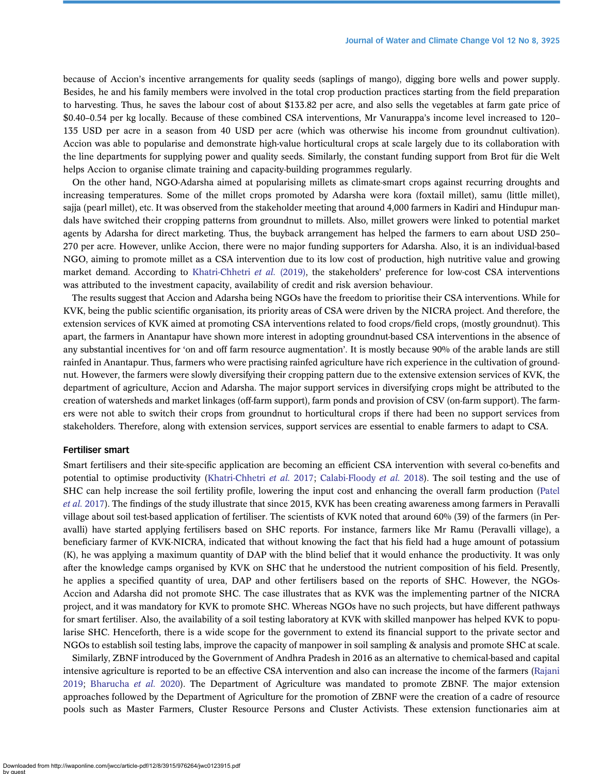because of Accion's incentive arrangements for quality seeds (saplings of mango), digging bore wells and power supply. Besides, he and his family members were involved in the total crop production practices starting from the field preparation to harvesting. Thus, he saves the labour cost of about \$133.82 per acre, and also sells the vegetables at farm gate price of \$0.40–0.54 per kg locally. Because of these combined CSA interventions, Mr Vanurappa's income level increased to 120– 135 USD per acre in a season from 40 USD per acre (which was otherwise his income from groundnut cultivation). Accion was able to popularise and demonstrate high-value horticultural crops at scale largely due to its collaboration with the line departments for supplying power and quality seeds. Similarly, the constant funding support from Brot für die Welt helps Accion to organise climate training and capacity-building programmes regularly.

On the other hand, NGO-Adarsha aimed at popularising millets as climate-smart crops against recurring droughts and increasing temperatures. Some of the millet crops promoted by Adarsha were kora (foxtail millet), samu (little millet), sajja (pearl millet), etc. It was observed from the stakeholder meeting that around 4,000 farmers in Kadiri and Hindupur mandals have switched their cropping patterns from groundnut to millets. Also, millet growers were linked to potential market agents by Adarsha for direct marketing. Thus, the buyback arrangement has helped the farmers to earn about USD 250– 270 per acre. However, unlike Accion, there were no major funding supporters for Adarsha. Also, it is an individual-based NGO, aiming to promote millet as a CSA intervention due to its low cost of production, high nutritive value and growing market demand. According to [Khatri-Chhetri](#page-15-0) et al.  $(2019)$ , the stakeholders' preference for low-cost CSA interventions was attributed to the investment capacity, availability of credit and risk aversion behaviour.

The results suggest that Accion and Adarsha being NGOs have the freedom to prioritise their CSA interventions. While for KVK, being the public scientific organisation, its priority areas of CSA were driven by the NICRA project. And therefore, the extension services of KVK aimed at promoting CSA interventions related to food crops/field crops, (mostly groundnut). This apart, the farmers in Anantapur have shown more interest in adopting groundnut-based CSA interventions in the absence of any substantial incentives for 'on and off farm resource augmentation'. It is mostly because 90% of the arable lands are still rainfed in Anantapur. Thus, farmers who were practising rainfed agriculture have rich experience in the cultivation of groundnut. However, the farmers were slowly diversifying their cropping pattern due to the extensive extension services of KVK, the department of agriculture, Accion and Adarsha. The major support services in diversifying crops might be attributed to the creation of watersheds and market linkages (off-farm support), farm ponds and provision of CSV (on-farm support). The farmers were not able to switch their crops from groundnut to horticultural crops if there had been no support services from stakeholders. Therefore, along with extension services, support services are essential to enable farmers to adapt to CSA.

#### Fertiliser smart

Smart fertilisers and their site-specific application are becoming an efficient CSA intervention with several co-benefits and potential to optimise productivity ([Khatri-Chhetri](#page-15-0) et al. 2017; [Calabi-Floody](#page-15-0) et al. 2018). The soil testing and the use of SHC can help increase the soil fertility profile, lowering the input cost and enhancing the overall farm production ([Patel](#page-15-0) et al. [2017\)](#page-15-0). The findings of the study illustrate that since 2015, KVK has been creating awareness among farmers in Peravalli village about soil test-based application of fertiliser. The scientists of KVK noted that around 60% (39) of the farmers (in Peravalli) have started applying fertilisers based on SHC reports. For instance, farmers like Mr Ramu (Peravalli village), a beneficiary farmer of KVK-NICRA, indicated that without knowing the fact that his field had a huge amount of potassium (K), he was applying a maximum quantity of DAP with the blind belief that it would enhance the productivity. It was only after the knowledge camps organised by KVK on SHC that he understood the nutrient composition of his field. Presently, he applies a specified quantity of urea, DAP and other fertilisers based on the reports of SHC. However, the NGOs-Accion and Adarsha did not promote SHC. The case illustrates that as KVK was the implementing partner of the NICRA project, and it was mandatory for KVK to promote SHC. Whereas NGOs have no such projects, but have different pathways for smart fertiliser. Also, the availability of a soil testing laboratory at KVK with skilled manpower has helped KVK to popularise SHC. Henceforth, there is a wide scope for the government to extend its financial support to the private sector and NGOs to establish soil testing labs, improve the capacity of manpower in soil sampling & analysis and promote SHC at scale.

Similarly, ZBNF introduced by the Government of Andhra Pradesh in 2016 as an alternative to chemical-based and capital intensive agriculture is reported to be an effective CSA intervention and also can increase the income of the farmers ([Rajani](#page-16-0) [2019;](#page-16-0) [Bharucha](#page-15-0) et al. 2020). The Department of Agriculture was mandated to promote ZBNF. The major extension approaches followed by the Department of Agriculture for the promotion of ZBNF were the creation of a cadre of resource pools such as Master Farmers, Cluster Resource Persons and Cluster Activists. These extension functionaries aim at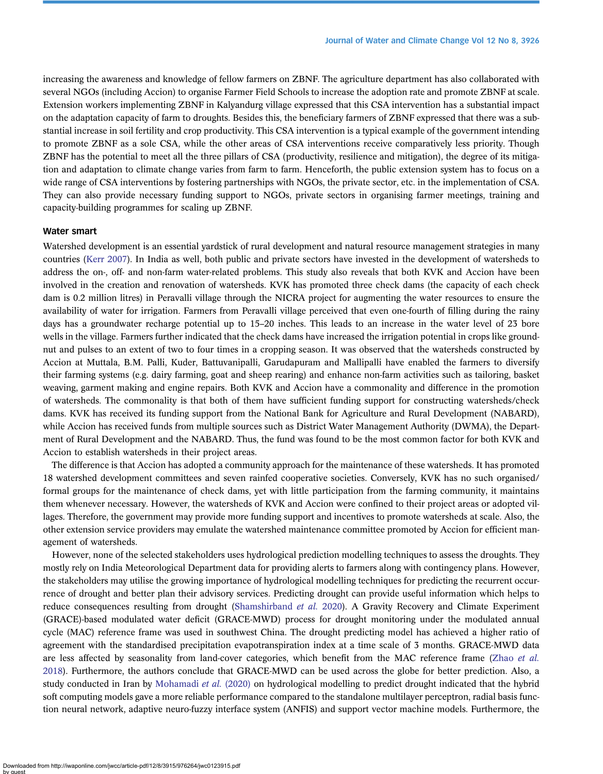increasing the awareness and knowledge of fellow farmers on ZBNF. The agriculture department has also collaborated with several NGOs (including Accion) to organise Farmer Field Schools to increase the adoption rate and promote ZBNF at scale. Extension workers implementing ZBNF in Kalyandurg village expressed that this CSA intervention has a substantial impact on the adaptation capacity of farm to droughts. Besides this, the beneficiary farmers of ZBNF expressed that there was a substantial increase in soil fertility and crop productivity. This CSA intervention is a typical example of the government intending to promote ZBNF as a sole CSA, while the other areas of CSA interventions receive comparatively less priority. Though ZBNF has the potential to meet all the three pillars of CSA (productivity, resilience and mitigation), the degree of its mitigation and adaptation to climate change varies from farm to farm. Henceforth, the public extension system has to focus on a wide range of CSA interventions by fostering partnerships with NGOs, the private sector, etc. in the implementation of CSA. They can also provide necessary funding support to NGOs, private sectors in organising farmer meetings, training and capacity-building programmes for scaling up ZBNF.

#### Water smart

Watershed development is an essential yardstick of rural development and natural resource management strategies in many countries [\(Kerr 2007](#page-15-0)). In India as well, both public and private sectors have invested in the development of watersheds to address the on-, off- and non-farm water-related problems. This study also reveals that both KVK and Accion have been involved in the creation and renovation of watersheds. KVK has promoted three check dams (the capacity of each check dam is 0.2 million litres) in Peravalli village through the NICRA project for augmenting the water resources to ensure the availability of water for irrigation. Farmers from Peravalli village perceived that even one-fourth of filling during the rainy days has a groundwater recharge potential up to 15–20 inches. This leads to an increase in the water level of 23 bore wells in the village. Farmers further indicated that the check dams have increased the irrigation potential in crops like groundnut and pulses to an extent of two to four times in a cropping season. It was observed that the watersheds constructed by Accion at Muttala, B.M. Palli, Kuder, Battuvanipalli, Garudapuram and Mallipalli have enabled the farmers to diversify their farming systems (e.g. dairy farming, goat and sheep rearing) and enhance non-farm activities such as tailoring, basket weaving, garment making and engine repairs. Both KVK and Accion have a commonality and difference in the promotion of watersheds. The commonality is that both of them have sufficient funding support for constructing watersheds/check dams. KVK has received its funding support from the National Bank for Agriculture and Rural Development (NABARD), while Accion has received funds from multiple sources such as District Water Management Authority (DWMA), the Department of Rural Development and the NABARD. Thus, the fund was found to be the most common factor for both KVK and Accion to establish watersheds in their project areas.

The difference is that Accion has adopted a community approach for the maintenance of these watersheds. It has promoted 18 watershed development committees and seven rainfed cooperative societies. Conversely, KVK has no such organised/ formal groups for the maintenance of check dams, yet with little participation from the farming community, it maintains them whenever necessary. However, the watersheds of KVK and Accion were confined to their project areas or adopted villages. Therefore, the government may provide more funding support and incentives to promote watersheds at scale. Also, the other extension service providers may emulate the watershed maintenance committee promoted by Accion for efficient management of watersheds.

However, none of the selected stakeholders uses hydrological prediction modelling techniques to assess the droughts. They mostly rely on India Meteorological Department data for providing alerts to farmers along with contingency plans. However, the stakeholders may utilise the growing importance of hydrological modelling techniques for predicting the recurrent occurrence of drought and better plan their advisory services. Predicting drought can provide useful information which helps to reduce consequences resulting from drought [\(Shamshirband](#page-16-0) et al. 2020). A Gravity Recovery and Climate Experiment (GRACE)-based modulated water deficit (GRACE-MWD) process for drought monitoring under the modulated annual cycle (MAC) reference frame was used in southwest China. The drought predicting model has achieved a higher ratio of agreement with the standardised precipitation evapotranspiration index at a time scale of 3 months. GRACE-MWD data are less affected by seasonality from land-cover categories, which benefit from the MAC reference frame ([Zhao](#page-16-0) et al. [2018](#page-16-0)). Furthermore, the authors conclude that GRACE-MWD can be used across the globe for better prediction. Also, a study conducted in Iran by [Mohamadi](#page-15-0) et al. (2020) on hydrological modelling to predict drought indicated that the hybrid soft computing models gave a more reliable performance compared to the standalone multilayer perceptron, radial basis function neural network, adaptive neuro-fuzzy interface system (ANFIS) and support vector machine models. Furthermore, the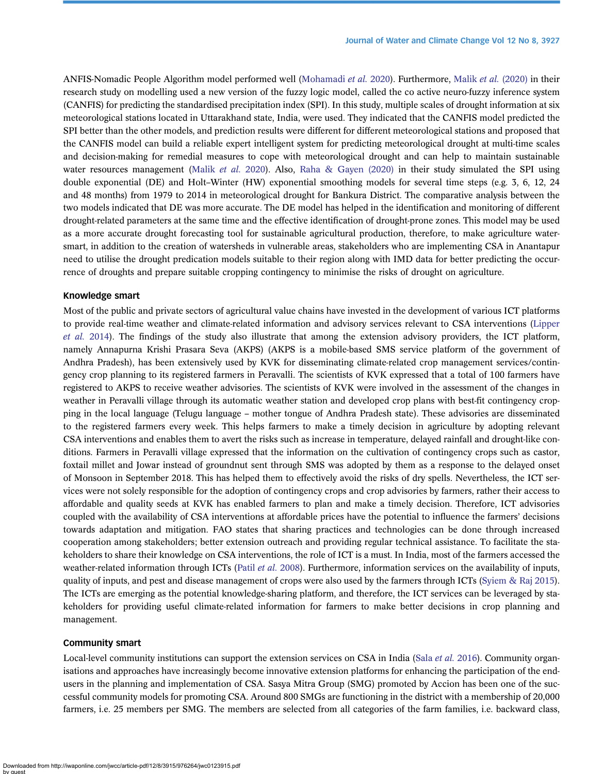ANFIS-Nomadic People Algorithm model performed well ([Mohamadi](#page-15-0) et al. 2020). Furthermore, Malik et al. [\(2020\)](#page-15-0) in their research study on modelling used a new version of the fuzzy logic model, called the co active neuro-fuzzy inference system (CANFIS) for predicting the standardised precipitation index (SPI). In this study, multiple scales of drought information at six meteorological stations located in Uttarakhand state, India, were used. They indicated that the CANFIS model predicted the SPI better than the other models, and prediction results were different for different meteorological stations and proposed that the CANFIS model can build a reliable expert intelligent system for predicting meteorological drought at multi-time scales and decision-making for remedial measures to cope with meteorological drought and can help to maintain sustainable water resources management ([Malik](#page-15-0) *et al.* 2020). Also, [Raha & Gayen \(2020\)](#page-16-0) in their study simulated the SPI using double exponential (DE) and Holt–Winter (HW) exponential smoothing models for several time steps (e.g. 3, 6, 12, 24 and 48 months) from 1979 to 2014 in meteorological drought for Bankura District. The comparative analysis between the two models indicated that DE was more accurate. The DE model has helped in the identification and monitoring of different drought-related parameters at the same time and the effective identification of drought-prone zones. This model may be used as a more accurate drought forecasting tool for sustainable agricultural production, therefore, to make agriculture watersmart, in addition to the creation of watersheds in vulnerable areas, stakeholders who are implementing CSA in Anantapur need to utilise the drought predication models suitable to their region along with IMD data for better predicting the occurrence of droughts and prepare suitable cropping contingency to minimise the risks of drought on agriculture.

#### Knowledge smart

Most of the public and private sectors of agricultural value chains have invested in the development of various ICT platforms to provide real-time weather and climate-related information and advisory services relevant to CSA interventions [\(Lipper](#page-15-0) [et al.](#page-15-0) 2014). The findings of the study also illustrate that among the extension advisory providers, the ICT platform, namely Annapurna Krishi Prasara Seva (AKPS) (AKPS is a mobile-based SMS service platform of the government of Andhra Pradesh), has been extensively used by KVK for disseminating climate-related crop management services/contingency crop planning to its registered farmers in Peravalli. The scientists of KVK expressed that a total of 100 farmers have registered to AKPS to receive weather advisories. The scientists of KVK were involved in the assessment of the changes in weather in Peravalli village through its automatic weather station and developed crop plans with best-fit contingency cropping in the local language (Telugu language – mother tongue of Andhra Pradesh state). These advisories are disseminated to the registered farmers every week. This helps farmers to make a timely decision in agriculture by adopting relevant CSA interventions and enables them to avert the risks such as increase in temperature, delayed rainfall and drought-like conditions. Farmers in Peravalli village expressed that the information on the cultivation of contingency crops such as castor, foxtail millet and Jowar instead of groundnut sent through SMS was adopted by them as a response to the delayed onset of Monsoon in September 2018. This has helped them to effectively avoid the risks of dry spells. Nevertheless, the ICT services were not solely responsible for the adoption of contingency crops and crop advisories by farmers, rather their access to affordable and quality seeds at KVK has enabled farmers to plan and make a timely decision. Therefore, ICT advisories coupled with the availability of CSA interventions at affordable prices have the potential to influence the farmers' decisions towards adaptation and mitigation. FAO states that sharing practices and technologies can be done through increased cooperation among stakeholders; better extension outreach and providing regular technical assistance. To facilitate the stakeholders to share their knowledge on CSA interventions, the role of ICT is a must. In India, most of the farmers accessed the weather-related information through ICTs (Patil [et al.](#page-15-0) 2008). Furthermore, information services on the availability of inputs, quality of inputs, and pest and disease management of crops were also used by the farmers through ICTs [\(Syiem & Raj 2015\)](#page-16-0). The ICTs are emerging as the potential knowledge-sharing platform, and therefore, the ICT services can be leveraged by stakeholders for providing useful climate-related information for farmers to make better decisions in crop planning and management.

#### Community smart

Local-level community institutions can support the extension services on CSA in India (Sala [et al.](#page-16-0) 2016). Community organisations and approaches have increasingly become innovative extension platforms for enhancing the participation of the endusers in the planning and implementation of CSA. Sasya Mitra Group (SMG) promoted by Accion has been one of the successful community models for promoting CSA. Around 800 SMGs are functioning in the district with a membership of 20,000 farmers, i.e. 25 members per SMG. The members are selected from all categories of the farm families, i.e. backward class,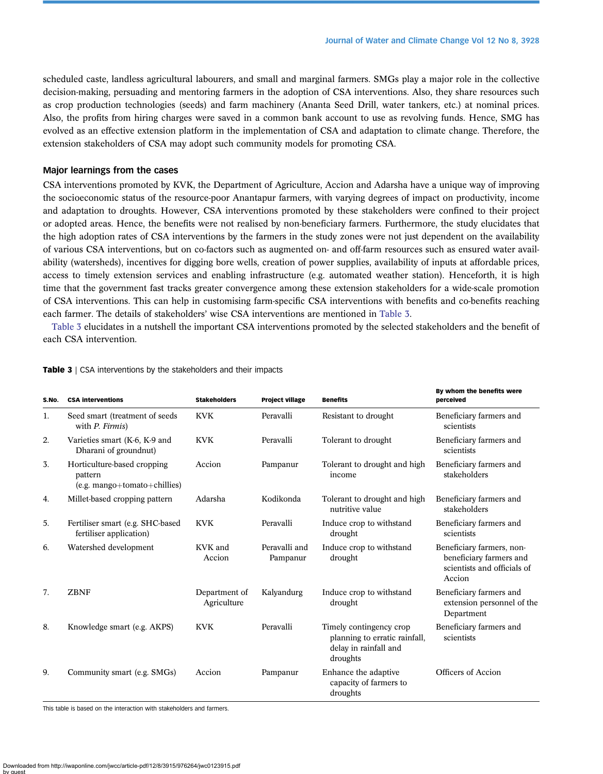scheduled caste, landless agricultural labourers, and small and marginal farmers. SMGs play a major role in the collective decision-making, persuading and mentoring farmers in the adoption of CSA interventions. Also, they share resources such as crop production technologies (seeds) and farm machinery (Ananta Seed Drill, water tankers, etc.) at nominal prices. Also, the profits from hiring charges were saved in a common bank account to use as revolving funds. Hence, SMG has evolved as an effective extension platform in the implementation of CSA and adaptation to climate change. Therefore, the extension stakeholders of CSA may adopt such community models for promoting CSA.

### Major learnings from the cases

CSA interventions promoted by KVK, the Department of Agriculture, Accion and Adarsha have a unique way of improving the socioeconomic status of the resource-poor Anantapur farmers, with varying degrees of impact on productivity, income and adaptation to droughts. However, CSA interventions promoted by these stakeholders were confined to their project or adopted areas. Hence, the benefits were not realised by non-beneficiary farmers. Furthermore, the study elucidates that the high adoption rates of CSA interventions by the farmers in the study zones were not just dependent on the availability of various CSA interventions, but on co-factors such as augmented on- and off-farm resources such as ensured water availability (watersheds), incentives for digging bore wells, creation of power supplies, availability of inputs at affordable prices, access to timely extension services and enabling infrastructure (e.g. automated weather station). Henceforth, it is high time that the government fast tracks greater convergence among these extension stakeholders for a wide-scale promotion of CSA interventions. This can help in customising farm-specific CSA interventions with benefits and co-benefits reaching each farmer. The details of stakeholders' wise CSA interventions are mentioned in Table 3.

Table 3 elucidates in a nutshell the important CSA interventions promoted by the selected stakeholders and the benefit of each CSA intervention.

| S.No. | <b>CSA interventions</b>                                                | <b>Stakeholders</b>          | <b>Project village</b>    | <b>Benefits</b>                                                                               | By whom the benefits were<br>perceived                                                        |
|-------|-------------------------------------------------------------------------|------------------------------|---------------------------|-----------------------------------------------------------------------------------------------|-----------------------------------------------------------------------------------------------|
| 1.    | Seed smart (treatment of seeds<br>with P. Firmis)                       | <b>KVK</b>                   | Peravalli                 | Resistant to drought                                                                          | Beneficiary farmers and<br>scientists                                                         |
| 2.    | Varieties smart (K-6, K-9 and<br>Dharani of groundnut)                  | <b>KVK</b>                   | Peravalli                 | Tolerant to drought                                                                           | Beneficiary farmers and<br>scientists                                                         |
| 3.    | Horticulture-based cropping<br>pattern<br>$(e.g. mapo+tomato+chillies)$ | Accion                       | Pampanur                  | Tolerant to drought and high<br>income                                                        | Beneficiary farmers and<br>stakeholders                                                       |
| 4.    | Millet-based cropping pattern                                           | Adarsha                      | Kodikonda                 | Tolerant to drought and high<br>nutritive value                                               | Beneficiary farmers and<br>stakeholders                                                       |
| 5.    | Fertiliser smart (e.g. SHC-based<br>fertiliser application)             | <b>KVK</b>                   | Peravalli                 | Induce crop to withstand<br>drought                                                           | Beneficiary farmers and<br>scientists                                                         |
| 6.    | Watershed development                                                   | KVK and<br>Accion            | Peravalli and<br>Pampanur | Induce crop to withstand<br>drought                                                           | Beneficiary farmers, non-<br>beneficiary farmers and<br>scientists and officials of<br>Accion |
| 7.    | <b>ZBNF</b>                                                             | Department of<br>Agriculture | Kalyandurg                | Induce crop to withstand<br>drought                                                           | Beneficiary farmers and<br>extension personnel of the<br>Department                           |
| 8.    | Knowledge smart (e.g. AKPS)                                             | <b>KVK</b>                   | Peravalli                 | Timely contingency crop<br>planning to erratic rainfall,<br>delay in rainfall and<br>droughts | Beneficiary farmers and<br>scientists                                                         |
| 9.    | Community smart (e.g. SMGs)                                             | Accion                       | Pampanur                  | Enhance the adaptive<br>capacity of farmers to<br>droughts                                    | Officers of Accion                                                                            |

#### Table 3 | CSA interventions by the stakeholders and their impacts

This table is based on the interaction with stakeholders and farmers.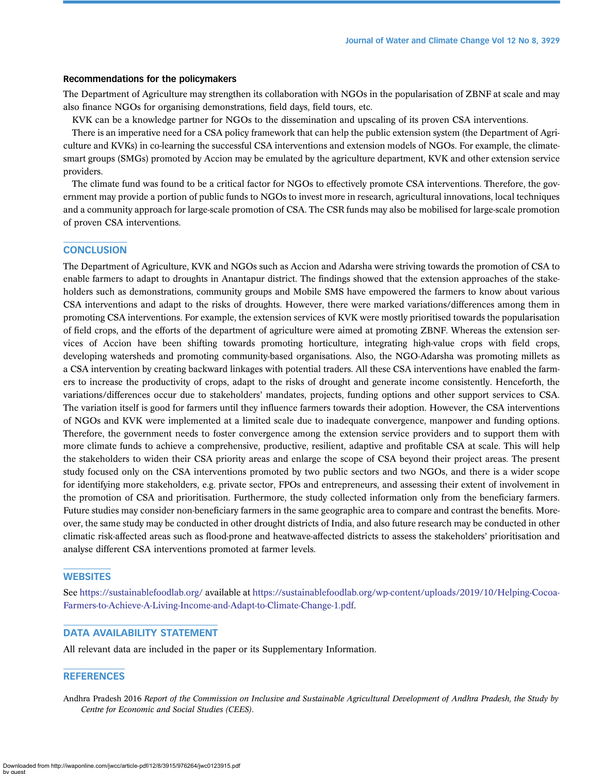# <span id="page-14-0"></span>Recommendations for the policymakers

The Department of Agriculture may strengthen its collaboration with NGOs in the popularisation of ZBNF at scale and may also finance NGOs for organising demonstrations, field days, field tours, etc.

KVK can be a knowledge partner for NGOs to the dissemination and upscaling of its proven CSA interventions.

There is an imperative need for a CSA policy framework that can help the public extension system (the Department of Agriculture and KVKs) in co-learning the successful CSA interventions and extension models of NGOs. For example, the climatesmart groups (SMGs) promoted by Accion may be emulated by the agriculture department, KVK and other extension service providers.

The climate fund was found to be a critical factor for NGOs to effectively promote CSA interventions. Therefore, the government may provide a portion of public funds to NGOs to invest more in research, agricultural innovations, local techniques and a community approach for large-scale promotion of CSA. The CSR funds may also be mobilised for large-scale promotion of proven CSA interventions.

# **CONCLUSION**

The Department of Agriculture, KVK and NGOs such as Accion and Adarsha were striving towards the promotion of CSA to enable farmers to adapt to droughts in Anantapur district. The findings showed that the extension approaches of the stakeholders such as demonstrations, community groups and Mobile SMS have empowered the farmers to know about various CSA interventions and adapt to the risks of droughts. However, there were marked variations/differences among them in promoting CSA interventions. For example, the extension services of KVK were mostly prioritised towards the popularisation of field crops, and the efforts of the department of agriculture were aimed at promoting ZBNF. Whereas the extension services of Accion have been shifting towards promoting horticulture, integrating high-value crops with field crops, developing watersheds and promoting community-based organisations. Also, the NGO-Adarsha was promoting millets as a CSA intervention by creating backward linkages with potential traders. All these CSA interventions have enabled the farmers to increase the productivity of crops, adapt to the risks of drought and generate income consistently. Henceforth, the variations/differences occur due to stakeholders' mandates, projects, funding options and other support services to CSA. The variation itself is good for farmers until they influence farmers towards their adoption. However, the CSA interventions of NGOs and KVK were implemented at a limited scale due to inadequate convergence, manpower and funding options. Therefore, the government needs to foster convergence among the extension service providers and to support them with more climate funds to achieve a comprehensive, productive, resilient, adaptive and profitable CSA at scale. This will help the stakeholders to widen their CSA priority areas and enlarge the scope of CSA beyond their project areas. The present study focused only on the CSA interventions promoted by two public sectors and two NGOs, and there is a wider scope for identifying more stakeholders, e.g. private sector, FPOs and entrepreneurs, and assessing their extent of involvement in the promotion of CSA and prioritisation. Furthermore, the study collected information only from the beneficiary farmers. Future studies may consider non-beneficiary farmers in the same geographic area to compare and contrast the benefits. Moreover, the same study may be conducted in other drought districts of India, and also future research may be conducted in other climatic risk-affected areas such as flood-prone and heatwave-affected districts to assess the stakeholders' prioritisation and analyse different CSA interventions promoted at farmer levels.

# **WEBSITES**

See <https://sustainablefoodlab.org/> available at [https://sustainablefoodlab.org/wp-content/uploads/2019/10/Helping-Cocoa-](https://sustainablefoodlab.org/wp-content/uploads/2019/10/Helping-Cocoa-Farmers-to-Achieve-A-Living-Income-and-Adapt-to-Climate-Change-1.pdf)[Farmers-to-Achieve-A-Living-Income-and-Adapt-to-Climate-Change-1.pdf.](https://sustainablefoodlab.org/wp-content/uploads/2019/10/Helping-Cocoa-Farmers-to-Achieve-A-Living-Income-and-Adapt-to-Climate-Change-1.pdf)

# DATA AVAILABILITY STATEMENT

All relevant data are included in the paper or its Supplementary Information.

#### **REFERENCES**

Andhra Pradesh 2016 Report of the Commission on Inclusive and Sustainable Agricultural Development of Andhra Pradesh, the Study by Centre for Economic and Social Studies (CEES).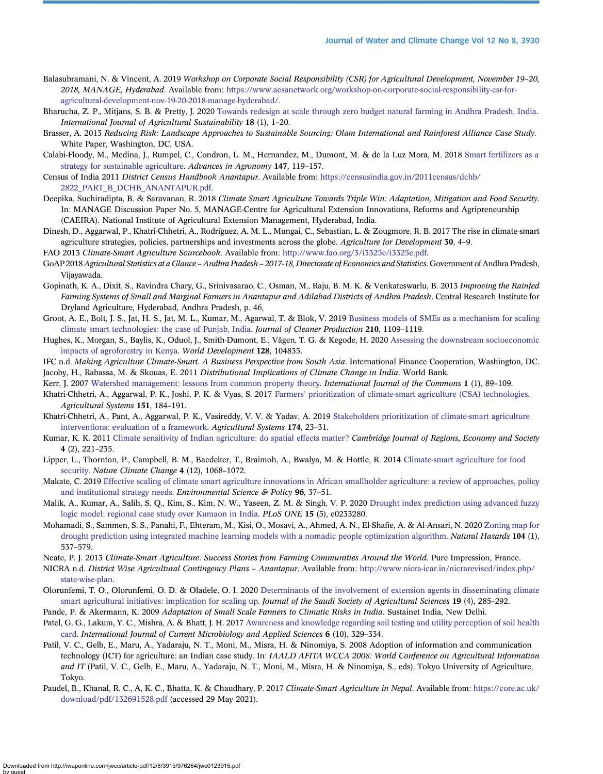- <span id="page-15-0"></span>Balasubramani, N. & Vincent, A. 2019 Workshop on Corporate Social Responsibility (CSR) for Agricultural Development, November 19–20, 2018, MANAGE, Hyderabad. Available from: [https://www.aesanetwork.org/workshop-on-corporate-social-responsibility-csr-for](https://www.aesanetwork.org/workshop-on-corporate-social-responsibility-csr-for-agricultural-development-nov-19-20-2018-manage-hyderabad/)[agricultural-development-nov-19-20-2018-manage-hyderabad/](https://www.aesanetwork.org/workshop-on-corporate-social-responsibility-csr-for-agricultural-development-nov-19-20-2018-manage-hyderabad/).
- Bharucha, Z. P., Mitjans, S. B. & Pretty, J. 2020 [Towards redesign at scale through zero budget natural farming in Andhra Pradesh, India](http://dx.doi.org/10.1080/14735903.2019.1694465). International Journal of Agricultural Sustainability 18 (1), 1–20.
- Brasser, A. 2013 Reducing Risk: Landscape Approaches to Sustainable Sourcing: Olam International and Rainforest Alliance Case Study. White Paper, Washington, DC, USA.
- Calabi-Floody, M., Medina, J., Rumpel, C., Condron, L. M., Hernandez, M., Dumont, M. & de la Luz Mora, M. 2018 [Smart fertilizers as a](http://dx.doi.org/10.1016/bs.agron.2017.10.003) [strategy for sustainable agriculture.](http://dx.doi.org/10.1016/bs.agron.2017.10.003) Advances in Agronomy 147, 119–157.
- Census of India 2011 District Census Handbook Anantapur. Available from: [https://censusindia.gov.in/2011census/dchb/](https://censusindia.gov.in/2011census/dchb/2822_PART_B_DCHB_ANANTAPUR.pdf) [2822\\_PART\\_B\\_DCHB\\_ANANTAPUR.pdf.](https://censusindia.gov.in/2011census/dchb/2822_PART_B_DCHB_ANANTAPUR.pdf)
- Deepika, Suchiradipta, B. & Saravanan, R. 2018 Climate Smart Agriculture Towards Triple Win: Adaptation, Mitigation and Food Security. In: MANAGE Discussion Paper No. 5, MANAGE-Centre for Agricultural Extension Innovations, Reforms and Agripreneurship (CAEIRA). National Institute of Agricultural Extension Management, Hyderabad, India.
- Dinesh, D., Aggarwal, P., Khatri-Chhetri, A., Rodríguez, A. M. L., Mungai, C., Sebastian, L. & Zougmore, R. B. 2017 The rise in climate-smart agriculture strategies, policies, partnerships and investments across the globe. Agriculture for Development 30, 4–9.
- FAO 2013 Climate-Smart Agriculture Sourcebook. Available from: <http://www.fao.org/3/i3325e/i3325e.pdf>.
- GoAP 2018 Agricultural Statistics at a Glance Andhra Pradesh 2017-18, Directorate of Economics and Statistics. Government of Andhra Pradesh, Vijayawada.
- Gopinath, K. A., Dixit, S., Ravindra Chary, G., Srinivasarao, C., Osman, M., Raju, B. M. K. & Venkateswarlu, B. 2013 Improving the Rainfed Farming Systems of Small and Marginal Farmers in Anantapur and Adilabad Districts of Andhra Pradesh. Central Research Institute for Dryland Agriculture, Hyderabad, Andhra Pradesh, p. 46,
- Groot, A. E., Bolt, J. S., Jat, H. S., Jat, M. L., Kumar, M., Agarwal, T. & Blok, V. 2019 [Business models of SMEs as a mechanism for scaling](http://dx.doi.org/10.1016/j.jclepro.2018.11.054) [climate smart technologies: the case of Punjab, India.](http://dx.doi.org/10.1016/j.jclepro.2018.11.054) Journal of Cleaner Production 210, 1109–1119.
- Hughes, K., Morgan, S., Baylis, K., Oduol, J., Smith-Dumont, E., Vågen, T. G. & Kegode, H. 2020 [Assessing the downstream socioeconomic](http://dx.doi.org/10.1016/j.worlddev.2019.104835) [impacts of agroforestry in Kenya.](http://dx.doi.org/10.1016/j.worlddev.2019.104835) World Development 128, 104835.
- IFC n.d. Making Agriculture Climate-Smart. A Business Perspective from South Asia. International Finance Cooperation, Washington, DC. Jacoby, H., Rabassa, M. & Skouas, E. 2011 Distributional Implications of Climate Change in India. World Bank.
- Kerr, J. 2007 [Watershed management: lessons from common property theory](http://dx.doi.org/10.18352/ijc.8). International Journal of the Commons 1 (1), 89–109.
- Khatri-Chhetri, A., Aggarwal, P. K., Joshi, P. K. & Vyas, S. 2017 Farmers' [prioritization of climate-smart agriculture \(CSA\) technologies.](http://dx.doi.org/10.1016/j.agsy.2016.10.005) Agricultural Systems 151, 184–191.
- Khatri-Chhetri, A., Pant, A., Aggarwal, P. K., Vasireddy, V. V. & Yadav, A. 2019 [Stakeholders prioritization of climate-smart agriculture](http://dx.doi.org/10.1016/j.agsy.2019.03.002) [interventions: evaluation of a framework](http://dx.doi.org/10.1016/j.agsy.2019.03.002). Agricultural Systems 174, 23–31.
- Kumar, K. K. 2011 [Climate sensitivity of Indian agriculture: do spatial effects matter?](http://dx.doi.org/10.1093/cjres/rsr004) Cambridge Journal of Regions, Economy and Society 4 (2), 221–235.
- Lipper, L., Thornton, P., Campbell, B. M., Baedeker, T., Braimoh, A., Bwalya, M. & Hottle, R. 2014 [Climate-smart agriculture for food](http://dx.doi.org/10.1038/nclimate2437) [security](http://dx.doi.org/10.1038/nclimate2437). Nature Climate Change 4 (12), 1068-1072.
- Makate, C. 2019 [Effective scaling of climate smart agriculture innovations in African smallholder agriculture: a review of approaches, policy](http://dx.doi.org/10.1016/j.envsci.2019.01.014) [and institutional strategy needs](http://dx.doi.org/10.1016/j.envsci.2019.01.014). Environmental Science & Policy 96, 37–51.
- Malik, A., Kumar, A., Salih, S. Q., Kim, S., Kim, N. W., Yaseen, Z. M. & Singh, V. P. 2020 [Drought index prediction using advanced fuzzy](http://dx.doi.org/10.1371/journal.pone.0233280) [logic model: regional case study over Kumaon in India.](http://dx.doi.org/10.1371/journal.pone.0233280) PLoS ONE 15 (5), e0233280.
- Mohamadi, S., Sammen, S. S., Panahi, F., Ehteram, M., Kisi, O., Mosavi, A., Ahmed, A. N., El-Shafie, A. & Al-Ansari, N. 2020 [Zoning map for](http://dx.doi.org/10.1007/s11069-020-04180-9) [drought prediction using integrated machine learning models with a nomadic people optimization algorithm](http://dx.doi.org/10.1007/s11069-020-04180-9). Natural Hazards 104 (1), 537–579.
- Neate, P. J. 2013 Climate-Smart Agriculture: Success Stories from Farming Communities Around the World. Pure Impression, France.
- NICRA n.d. District Wise Agricultural Contingency Plans Anantapur. Available from: [http://www.nicra-icar.in/nicrarevised/index.php/](http://www.nicra-icar.in/nicrarevised/index.php/state-wise-plan) [state-wise-plan.](http://www.nicra-icar.in/nicrarevised/index.php/state-wise-plan)
- Olorunfemi, T. O., Olorunfemi, O. D. & Oladele, O. I. 2020 [Determinants of the involvement of extension agents in disseminating climate](http://dx.doi.org/10.1016/j.jssas.2019.03.003) [smart agricultural initiatives: implication for scaling up.](http://dx.doi.org/10.1016/j.jssas.2019.03.003) Journal of the Saudi Society of Agricultural Sciences 19 (4), 285–292.
- Pande, P. & Akermann, K. 2009 Adaptation of Small Scale Farmers to Climatic Risks in India. Sustainet India, New Delhi.
- Patel, G. G., Lakum, Y. C., Mishra, A. & Bhatt, J. H. 2017 [Awareness and knowledge regarding soil testing and utility perception of soil health](http://dx.doi.org/10.20546/ijcmas.2017.610.040) [card](http://dx.doi.org/10.20546/ijcmas.2017.610.040). International Journal of Current Microbiology and Applied Sciences 6 (10), 329–334.
- Patil, V. C., Gelb, E., Maru, A., Yadaraju, N. T., Moni, M., Misra, H. & Ninomiya, S. 2008 Adoption of information and communication technology (ICT) for agriculture: an Indian case study. In: IAALD AFITA WCCA 2008: World Conference on Agricultural Information and IT (Patil, V. C., Gelb, E., Maru, A., Yadaraju, N. T., Moni, M., Misra, H. & Ninomiya, S., eds). Tokyo University of Agriculture, Tokyo.
- Paudel, B., Khanal, R. C., A, K. C., Bhatta, K. & Chaudhary, P. 2017 Climate-Smart Agriculture in Nepal. Available from: [https://core.ac.uk/](https://core.ac.uk/download/pdf/132691528.pdf) [download/pdf/132691528.pdf](https://core.ac.uk/download/pdf/132691528.pdf) (accessed 29 May 2021).